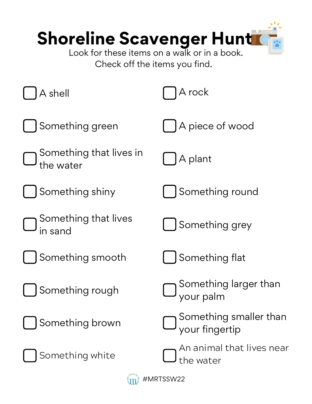| <b>Shoreline Scavenger Hunt</b><br>Look for these items on a walk or in a book.<br>Check off the items you find. |                                                      |
|------------------------------------------------------------------------------------------------------------------|------------------------------------------------------|
| A shell                                                                                                          | A rock                                               |
| Something green                                                                                                  | A piece of wood                                      |
| Something that lives in<br>the water                                                                             | A plant                                              |
| Something shiny                                                                                                  | Something round                                      |
| Something that lives<br>sand                                                                                     | Something grey                                       |
| Something smooth                                                                                                 | Something flat                                       |
| Something rough                                                                                                  | $\bigcup$ Something larger than<br>U your palm       |
| Something brown                                                                                                  | $\bigcup$ Something smaller than<br>U your fingertip |
| Something white                                                                                                  | An animal that lives near<br>the water               |

 $\textcircled{H}$  #MRTSSW22